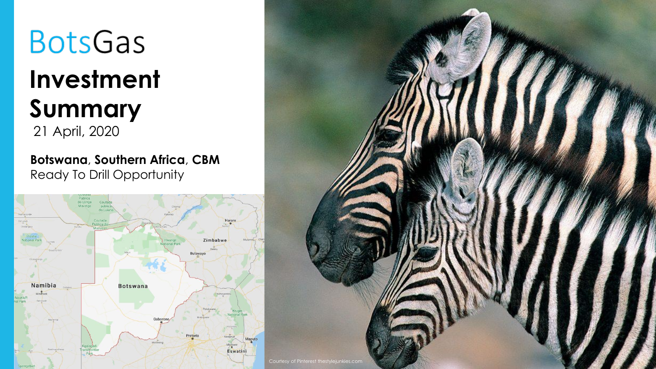# **BotsGas Investment Summary** 21 April, 2020

**Botswana**, **Southern Africa**, **CBM** Ready To Drill Opportunity



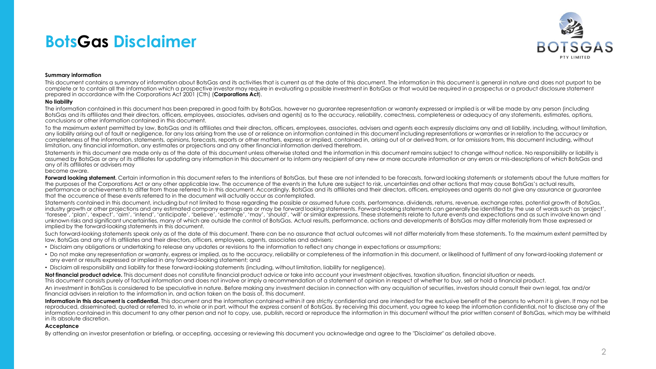### **BotsGas Disclaimer**



### **Summary information**

This document contains a summary of information about BotsGas and its activities that is current as at the date of this document. The information in this document is general in nature and does not purport to be complete or to contain all the information which a prospective investor may require in evaluating a possible investment in BotsGas or that would be required in a prospectus or a product disclosure statement prepared in accordance with the Corporations Act 2001 (Cth) (**Corporations Act**).

### **No liability**

The information contained in this document has been prepared in good faith by BotsGas, however no guarantee representation or warranty expressed or implied is or will be made by any person (including BotsGas and its affiliates and their directors, officers, employees, associates, advisers and agents) as to the accuracy, reliability, correctness, completeness or adequacy of any statements, estimates, options, conclusions or other information contained in this document.

To the maximum extent permitted by law, BotsGas and its affiliates and their directors, officers, employees, associates, advisers and agents each expressly disclaims any and all liability, including, without limitation, any liability arising out of fault or negligence, for any loss arising from the use of or reliance on information contained in this document including representations or warranties or in relation to the accuracy or completeness of the information, statements, opinions, forecasts, reports or other matters, express or implied, contained in, arising out of or derived from, or for omissions from, this document including, without limitation, any financial information, any estimates or projections and any other financial information derived therefrom.

Statements in this document are made only as of the date of this document unless otherwise stated and the information in this document remains subject to change without notice. No responsibility or liability is assumed by BotsGas or any of its affiliates for updating any information in this document or to inform any recipient of any new or more accurate information or any errors or mis-descriptions of which BotsGas and any of its affiliates or advisers may

### become aware.

**Forward looking statement.** Certain information in this document refers to the intentions of BotsGas, but these are not intended to be forecasts, forward looking statements or statements about the future matters for the purposes of the Corporations Act or any other applicable law. The occurrence of the events in the future are subject to risk, uncertainties and other actions that may cause BotsGas's actual results, performance or achievements to differ from those referred to in this document. Accordingly, BotsGas and its affiliates and their directors, officers, employees and agents do not give any assurance or guarantee that the occurrence of these events referred to in the document will actually occur as contemplated.

Statements contained in this document, including but not limited to those regarding the possible or assumed future costs, performance, dividends, returns, revenue, exchange rates, potential growth of BotsGas, industry growth or other projections and any estimated company earnings are or may be forward looking statements. Forward-looking statements can generally be identified by the use of words such as 'project', 'foresee', 'plan', 'expect', 'aim', 'intend', 'anticipate', 'believe', 'estimate', 'may', 'should', 'will' or similar expressions. These statements relate to future events and expectations and as such involve known and unknown risks and significant uncertainties, many of which are outside the control of BotsGas. Actual results, performance, actions and developments of BotsGas may differ materially from those expressed or implied by the forward-looking statements in this document.

Such forward-looking statements speak only as of the date of this document. There can be no assurance that actual outcomes will not differ materially from these statements. To the maximum extent permitted by law, BotsGas and any of its affiliates and their directors, officers, employees, agents, associates and advisers:

- Disclaim any obligations or undertaking to release any updates or revisions to the information to reflect any change in expectations or assumptions;
- Do not make any representation or warranty, express or implied, as to the accuracy, reliability or completeness of the information in this document, or likelihood of fulfilment of any forward-looking statement or any event or results expressed or implied in any forward-looking statement; and
- Disclaim all responsibility and liability for these forward-looking statements (including, without limitation, liability for negligence).

Not financial product advice. This document does not constitute financial product advice or take into account your investment objectives, taxation situation, financial situation or needs.

This document consists purely of factual information and does not involve or imply a recommendation of a statement of opinion in respect of whether to buy, sell or hold a financial product.

An investment in BotsGas is considered to be speculative in nature. Before making any investment decision in connection with any acquisition of securities, investors should consult their own legal, tax and/or financial advisers in relation to the information in, and action taken on the basis of, this document.

Information in this document is confidential. This document and the information contained within it are strictly confidential and are intended for the exclusive benefit of the persons to whom it is given. It may not be reproduced, disseminated, quoted or referred to, in whole or in part, without the express consent of BotsGas. By receiving this document, you agree to keep the information confidential, not to disclose any of the information contained in this document to any other person and not to copy, use, publish, record or reproduce the information in this document without the prior written consent of BotsGas, which may be withheld in its absolute discretion.

#### **Acceptance**

By attending an investor presentation or briefing, or accepting, accessing or reviewing this document you acknowledge and agree to the "Disclaimer" as detailed above.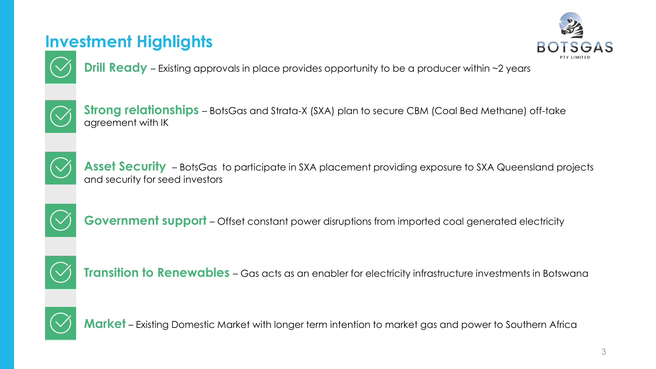## **Investment Highlights**



**Drill Ready** – Existing approvals in place provides opportunity to be a producer within ~2 years



**Strong relationships** – BotsGas and Strata-X (SXA) plan to secure CBM (Coal Bed Methane) off-take agreement with IK



Asset Security - BotsGas to participate in SXA placement providing exposure to SXA Queensland projects and security for seed investors



**Government support** – Offset constant power disruptions from imported coal generated electricity



**Transition to Renewables** - Gas acts as an enabler for electricity infrastructure investments in Botswana



**Market** – Existing Domestic Market with longer term intention to market gas and power to Southern Africa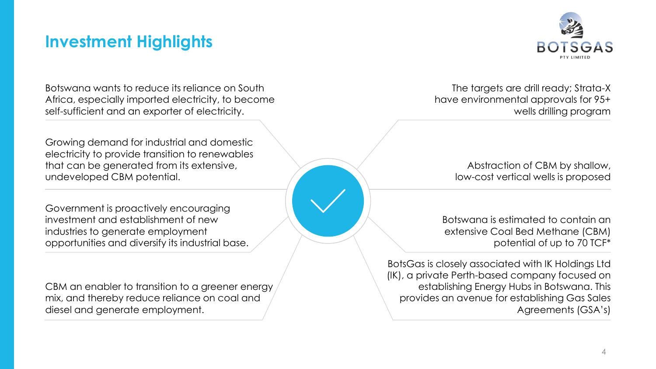### **Investment Highlights**



Botswana wants to reduce its reliance on South Africa, especially imported electricity, to become self-sufficient and an exporter of electricity.

Growing demand for industrial and domestic electricity to provide transition to renewables that can be generated from its extensive, undeveloped CBM potential.

Government is proactively encouraging investment and establishment of new industries to generate employment opportunities and diversify its industrial base.

CBM an enabler to transition to a greener energy mix, and thereby reduce reliance on coal and diesel and generate employment.

The targets are drill ready; Strata-X have environmental approvals for 95+ wells drilling program

> Abstraction of CBM by shallow, low-cost vertical wells is proposed

Botswana is estimated to contain an extensive Coal Bed Methane (CBM) potential of up to 70 TCF\*

BotsGas is closely associated with IK Holdings Ltd (IK), a private Perth-based company focused on establishing Energy Hubs in Botswana. This provides an avenue for establishing Gas Sales Agreements (GSA's)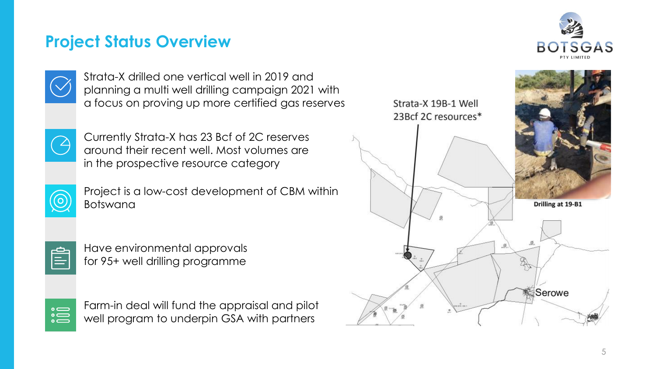### **Project Status Overview**





Strata-X drilled one vertical well in 2019 and planning a multi well drilling campaign 2021 with a focus on proving up more certified gas reserves



Currently Strata-X has 23 Bcf of 2C reserves around their recent well. Most volumes are in the prospective resource category



Project is a low-cost development of CBM within Botswana



Have environmental approvals for 95+ well drilling programme



Farm-in deal will fund the appraisal and pilot well program to underpin GSA with partners

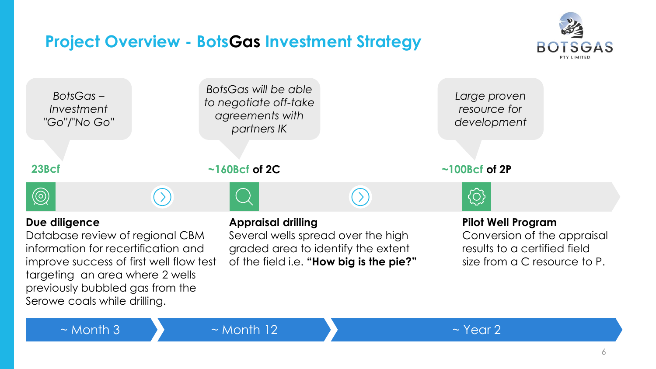## **Project Overview - BotsGas Investment Strategy**





 $\sim$  Month 3  $\sim$  Month 12  $\sim$  10  $\sim$  Year 2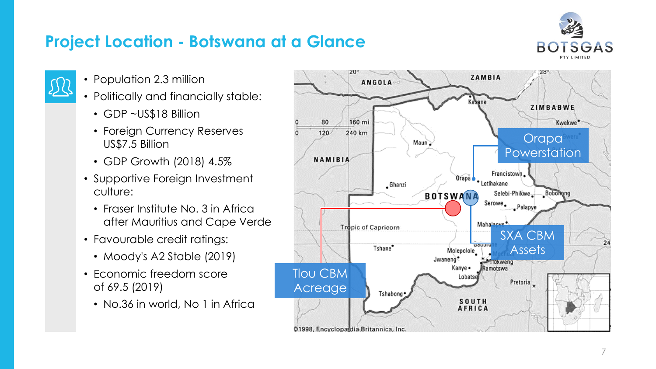## **Project Location - Botswana at a Glance**



- 
- Population 2.3 million
- Politically and financially stable:
	- GDP ~US\$18 Billion
	- Foreign Currency Reserves US\$7.5 Billion
	- GDP Growth (2018) 4.5%
- Supportive Foreign Investment culture:
	- Fraser Institute No. 3 in Africa after Mauritius and Cape Verde
- Favourable credit ratings:
	- Moody's A2 Stable (2019)
- Economic freedom score of 69.5 (2019)
	- No.36 in world, No 1 in Africa

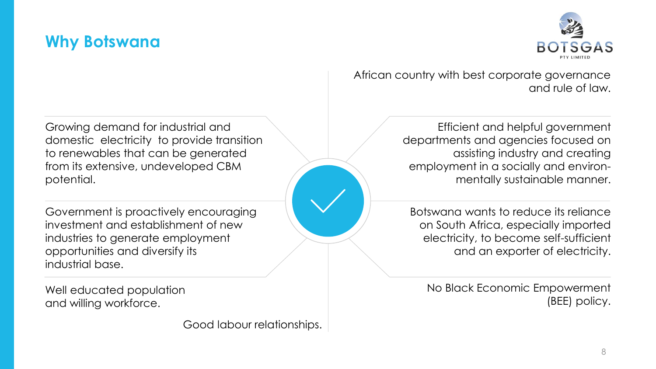### **Why Botswana**



Growing demand for industrial and domestic electricity to provide transition to renewables that can be generated from its extensive, undeveloped CBM potential.

Government is proactively encouraging investment and establishment of new industries to generate employment opportunities and diversify its industrial base.

Well educated population and willing workforce.

Good labour relationships.

African country with best corporate governance and rule of law.

> Efficient and helpful government departments and agencies focused on assisting industry and creating employment in a socially and environmentally sustainable manner.

Botswana wants to reduce its reliance on South Africa, especially imported electricity, to become self-sufficient and an exporter of electricity.

No Black Economic Empowerment (BEE) policy.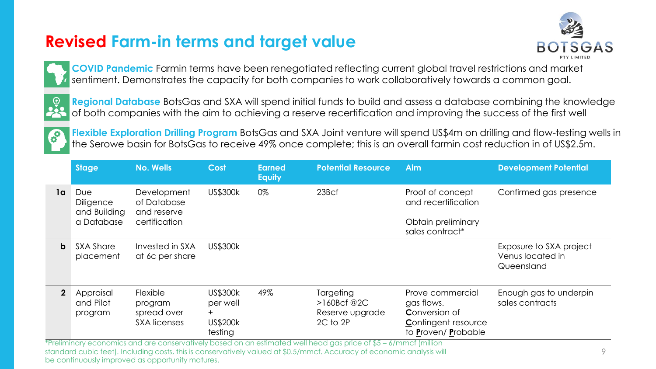## **Revised Farm-in terms and target value**





**COVID Pandemic** Farmin terms have been renegotiated reflecting current global travel restrictions and market sentiment. Demonstrates the capacity for both companies to work collaboratively towards a common goal.



**Regional Database** BotsGas and SXA will spend initial funds to build and assess a database combining the knowledge of both companies with the aim to achieving a reserve recertification and improving the success of the first well



**Flexible Exploration Drilling Program** BotsGas and SXA Joint venture will spend US\$4m on drilling and flow-testing wells in the Serowe basin for BotsGas to receive 49% once complete; this is an overall farmin cost reduction in of US\$2.5m.

|                | <b>Stage</b>                                                                                                     | <b>No. Wells</b>                                                 | Cost                                                             | <b>Earned</b><br><b>Equity</b> | <b>Potential Resource</b>                                         | <b>Aim</b>                                                                                                  | <b>Development Potential</b>                              |  |  |  |
|----------------|------------------------------------------------------------------------------------------------------------------|------------------------------------------------------------------|------------------------------------------------------------------|--------------------------------|-------------------------------------------------------------------|-------------------------------------------------------------------------------------------------------------|-----------------------------------------------------------|--|--|--|
| 1a             | Due<br>Diligence<br>and Building<br>a Database                                                                   | Development<br>of Database<br>and reserve<br>certification       | US\$300k                                                         | 0%                             | 23Bcf                                                             | Proof of concept<br>and recertification<br>Obtain preliminary<br>sales contract*                            | Confirmed gas presence                                    |  |  |  |
| b              | <b>SXA Share</b><br>placement                                                                                    | Invested in SXA<br>at 6c per share                               | <b>US\$300k</b>                                                  |                                |                                                                   |                                                                                                             | Exposure to SXA project<br>Venus located in<br>Queensland |  |  |  |
| $\mathfrak{p}$ | Appraisal<br>and Pilot<br>program                                                                                | <b>Flexible</b><br>program<br>spread over<br><b>SXA licenses</b> | <b>US\$300k</b><br>per well<br>$+$<br><b>US\$200k</b><br>testing | 49%                            | <b>Targeting</b><br>$>160$ Bcf @2C<br>Reserve upgrade<br>2C to 2P | Prove commercial<br>gas flows.<br><b>Conversion of</b><br><b>Contingent resource</b><br>to Proven/ Probable | Enough gas to underpin<br>sales contracts                 |  |  |  |
|                | *Preliminary economics and are conservatively based on an estimated well head gas price of \$5 – 6/mmcf (million |                                                                  |                                                                  |                                |                                                                   |                                                                                                             |                                                           |  |  |  |

standard cubic feet). Including costs, this is conservatively valued at \$0.5/mmcf. Accuracy of economic analysis will

be continuously improved as opportunity matures.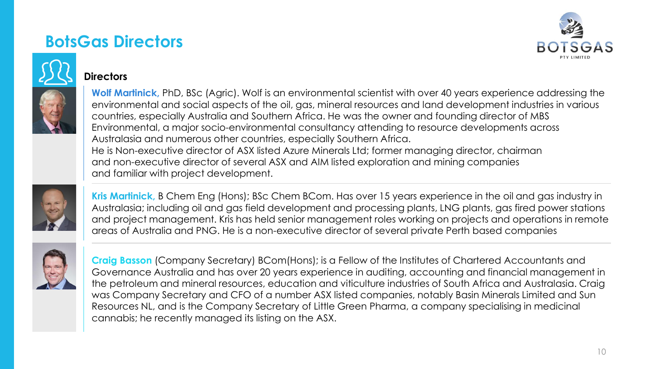### **BotsGas Directors**





### **Directors**

**Wolf Martinick,** PhD, BSc (Agric). Wolf is an environmental scientist with over 40 years experience addressing the environmental and social aspects of the oil, gas, mineral resources and land development industries in various countries, especially Australia and Southern Africa. He was the owner and founding director of MBS Environmental, a major socio-environmental consultancy attending to resource developments across Australasia and numerous other countries, especially Southern Africa. He is Non-executive director of ASX listed Azure Minerals Ltd; former managing director, chairman and non-executive director of several ASX and AIM listed exploration and mining companies and familiar with project development.



**Kris Martinick,** B Chem Eng (Hons); BSc Chem BCom. Has over 15 years experience in the oil and gas industry in Australasia; including oil and gas field development and processing plants, LNG plants, gas fired power stations and project management. Kris has held senior management roles working on projects and operations in remote areas of Australia and PNG. He is a non-executive director of several private Perth based companies



**Craig Basson** (Company Secretary) BCom(Hons); is a Fellow of the Institutes of Chartered Accountants and Governance Australia and has over 20 years experience in auditing, accounting and financial management in the petroleum and mineral resources, education and viticulture industries of South Africa and Australasia. Craig was Company Secretary and CFO of a number ASX listed companies, notably Basin Minerals Limited and Sun Resources NL, and is the Company Secretary of Little Green Pharma, a company specialising in medicinal cannabis; he recently managed its listing on the ASX.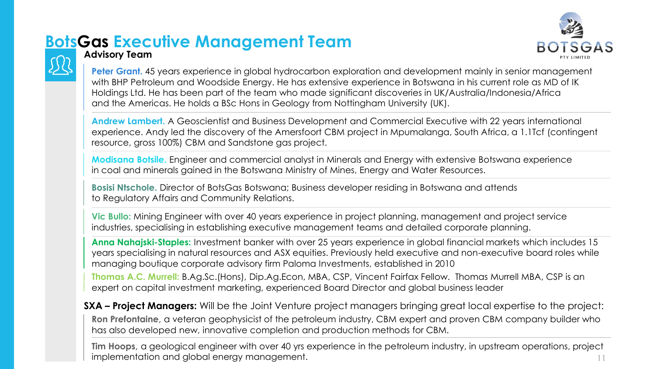# **BotsGas Executive Management Team**





### **Advisory Team**

**Peter Grant.** 45 years experience in global hydrocarbon exploration and development mainly in senior management with BHP Petroleum and Woodside Energy. He has extensive experience in Botswana in his current role as MD of IK Holdings Ltd. He has been part of the team who made significant discoveries in UK/Australia/Indonesia/Africa and the Americas. He holds a BSc Hons in Geology from Nottingham University (UK).

**Andrew Lambert.** A Geoscientist and Business Development and Commercial Executive with 22 years international experience. Andy led the discovery of the Amersfoort CBM project in Mpumalanga, South Africa, a 1.1Tcf (contingent resource, gross 100%) CBM and Sandstone gas project.

**Modisana Botsile.** Engineer and commercial analyst in Minerals and Energy with extensive Botswana experience in coal and minerals gained in the Botswana Ministry of Mines, Energy and Water Resources.

**Bosisi Ntschole.** Director of BotsGas Botswana; Business developer residing in Botswana and attends to Regulatory Affairs and Community Relations.

**Vic Bullo:** Mining Engineer with over 40 years experience in project planning, management and project service industries, specialising in establishing executive management teams and detailed corporate planning.

**Anna Nahajski-Staples:** Investment banker with over 25 years experience in global financial markets which includes 15 years specialising in natural resources and ASX equities. Previously held executive and non-executive board roles while managing boutique corporate advisory firm Paloma Investments, established in 2010

**Thomas A.C. Murrell:** B.Ag.Sc.(Hons), Dip.Ag.Econ, MBA, CSP, Vincent Fairfax Fellow. Thomas Murrell MBA, CSP is an expert on capital investment marketing, experienced Board Director and global business leader

**SXA – Project Managers:** Will be the Joint Venture project managers bringing great local expertise to the project: **Ron Prefontaine,** a veteran geophysicist of the petroleum industry, CBM expert and proven CBM company builder who has also developed new, innovative completion and production methods for CBM.

**Tim Hoops,** a geological engineer with over 40 yrs experience in the petroleum industry, in upstream operations, project implementation and global energy management. The contract of the contract of the contract of the contract of the contract of the contract of the contract of the contract of the contract of the contract of the contract of t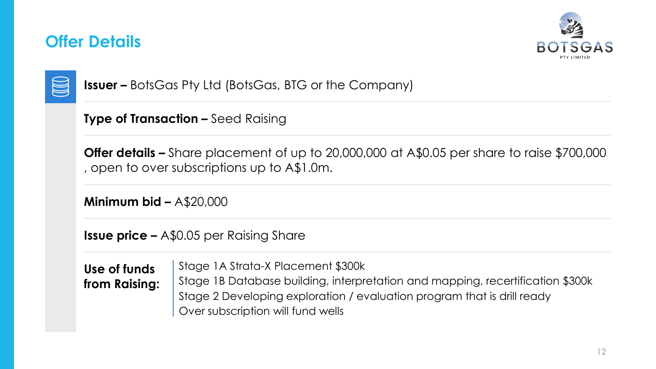### **Offer Details**





**Issuer –** BotsGas Pty Ltd (BotsGas, BTG or the Company)

**Type of Transaction –** Seed Raising

**Offer details –** Share placement of up to 20,000,000 at A\$0.05 per share to raise \$700,000 , open to over subscriptions up to A\$1.0m.

**Minimum bid –** A\$20,000

**Issue price –** A\$0.05 per Raising Share

**Use of funds from Raising:** Stage 1A Strata-X Placement \$300k

Stage 1B Database building, interpretation and mapping, recertification \$300k Stage 2 Developing exploration / evaluation program that is drill ready Over subscription will fund wells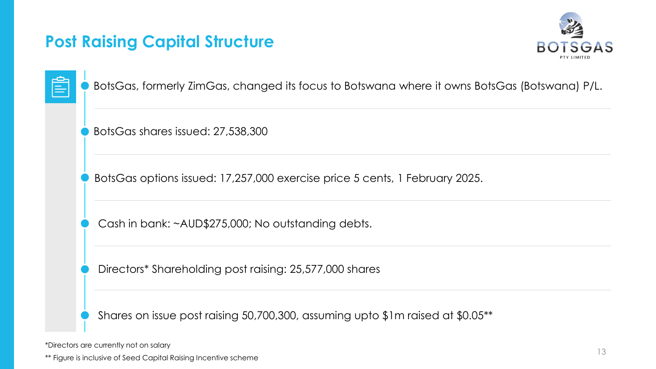### **Post Raising Capital Structure**



| __                     |  |
|------------------------|--|
| <b>Service Service</b> |  |

BotsGas, formerly ZimGas, changed its focus to Botswana where it owns BotsGas (Botswana) P/L.

BotsGas shares issued: 27,538,300

BotsGas options issued: 17,257,000 exercise price 5 cents, 1 February 2025.

Cash in bank: ~AUD\$275,000; No outstanding debts.

Directors\* Shareholding post raising: 25,577,000 shares

Shares on issue post raising 50,700,300, assuming upto \$1m raised at \$0.05\*\*

\*Directors are currently not on salary

\*\* Figure is inclusive of Seed Capital Raising Incentive scheme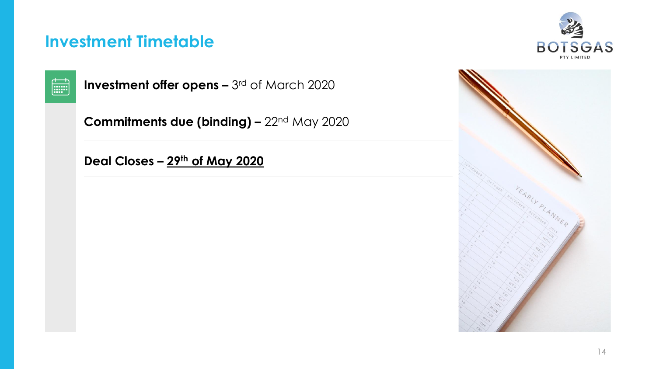### **Investment Timetable**





**Investment offer opens – 3rd of March 2020** 

**Commitments due (binding) –** 22nd May 2020

**Deal Closes – 29th of May 2020**

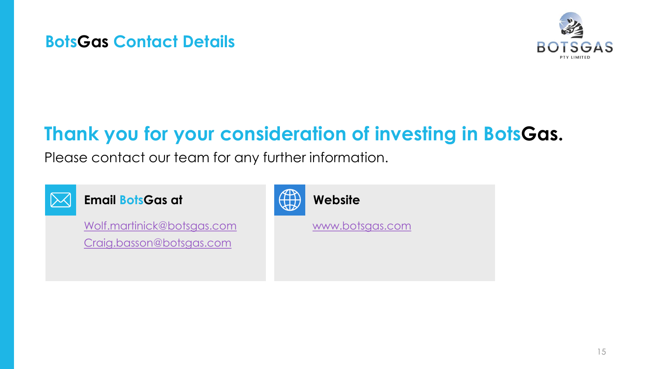### **BotsGas Contact Details**



# **Thank you for your consideration of investing in BotsGas.**

Please contact our team for any further information.



**Email BotsGas at**

[Wolf.martinick@botsgas.com](mailto:Wolf.martinick@botsgas.com) [Craig.basson@botsgas.com](mailto:Craig.basson@botsgas.com)



**Website**

[www.botsgas.com](http://www.botsgas.com/)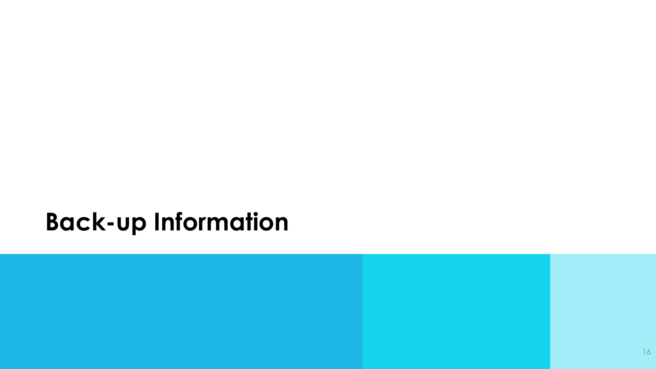# **Back-up Information**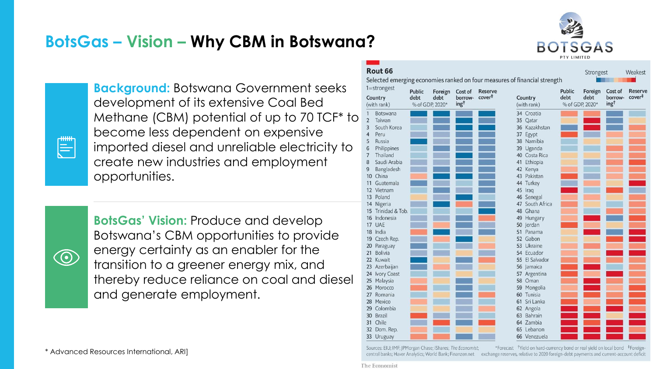## **BotsGas – Vision – Why CBM in Botswana?**



 $\equiv$ 

**Background:** Botswana Government seeks development of its extensive Coal Bed Methane (CBM) potential of up to 70 TCF\* to become less dependent on expensive imported diesel and unreliable electricity to create new industries and employment opportunities.

 $\circledcirc$ 

**BotsGas' Vision:** Produce and develop Botswana's CBM opportunities to provide energy certainty as an enabler for the transition to a greener energy mix, and thereby reduce reliance on coal and diesel and generate employment.

\* Advanced Resources International, ARI]

|                | Rout 66            |                          |                 |                  |                    |                                                                           |        |                 |                  |                    |
|----------------|--------------------|--------------------------|-----------------|------------------|--------------------|---------------------------------------------------------------------------|--------|-----------------|------------------|--------------------|
|                |                    |                          |                 |                  |                    |                                                                           |        | Strongest       |                  | Weakest            |
|                |                    |                          |                 |                  |                    | Selected emerging economies ranked on four measures of financial strength |        |                 |                  |                    |
| 1=strongest    |                    | <b>Public</b><br>Foreign |                 | Cost of          | Reserve            |                                                                           | Public | Foreign         | Cost of          | Reserve            |
|                | Country            | debt                     | debt            | borrow-          | cover <sup>#</sup> | Country                                                                   | debt   | debt            | borrow-          | cover <sup>#</sup> |
|                | (with rank)        |                          | % of GDP, 2020* | ing <sup>+</sup> |                    | (with rank)                                                               |        | % of GDP, 2020* | ing <sup>t</sup> |                    |
| 1              | Botswana           |                          |                 |                  |                    | 34 Croatia                                                                |        |                 |                  |                    |
| $\overline{2}$ | Taiwan             |                          |                 |                  |                    | 35 Qatar                                                                  |        |                 |                  |                    |
| 3              | South Korea        |                          |                 |                  |                    | 36 Kazakhstan                                                             |        |                 |                  |                    |
| 4              | Peru               |                          |                 |                  |                    | 37 Egypt                                                                  |        |                 |                  |                    |
| 5              | Russia             |                          |                 |                  |                    | 38 Namibia                                                                |        |                 |                  |                    |
| 6              | Philippines        |                          |                 |                  |                    | 39 Uganda                                                                 |        |                 |                  |                    |
| $\overline{7}$ | Thailand           |                          |                 |                  |                    | 40 Costa Rica                                                             |        |                 |                  |                    |
| 8              | Saudi Arabia       |                          |                 |                  |                    | 41 Ethiopia                                                               |        |                 |                  |                    |
| 9              | Bangladesh         |                          |                 |                  |                    | 42 Kenya                                                                  |        |                 |                  |                    |
|                | 10 China           |                          |                 |                  |                    | 43 Pakistan                                                               |        |                 |                  |                    |
| 11             | Guatemala          |                          |                 |                  |                    | 44 Turkey                                                                 |        |                 |                  |                    |
|                | 12 Vietnam         |                          |                 |                  |                    | 45 Iraq                                                                   |        |                 |                  |                    |
|                | 13 Poland          |                          |                 |                  |                    | 46 Senegal                                                                |        |                 |                  |                    |
|                | 14 Nigeria         |                          |                 |                  |                    | 47 South Africa                                                           |        |                 |                  |                    |
|                | 15 Trinidad & Tob. |                          |                 |                  |                    | 48 Ghana                                                                  |        |                 |                  |                    |
|                | 16 Indonesia       |                          |                 |                  |                    | 49 Hungary                                                                |        |                 |                  |                    |
|                | 17 UAE             |                          |                 |                  |                    | 50 Jordan                                                                 |        |                 |                  |                    |
|                | 18 India           |                          |                 |                  |                    | 51<br>Panama                                                              |        |                 |                  |                    |
|                | 19 Czech Rep.      |                          |                 |                  |                    | 52 Gabon                                                                  |        |                 |                  |                    |
|                | 20 Paraguay        |                          |                 |                  |                    | 53 Ukraine                                                                |        |                 |                  |                    |
|                | 21 Bolivia         |                          |                 |                  |                    | 54 Ecuador                                                                |        |                 |                  |                    |
|                | 22 Kuwait          |                          |                 |                  |                    | 55 El Salvador                                                            |        |                 |                  |                    |
|                | 23 Azerbaijan      |                          |                 |                  |                    | 56 Jamaica                                                                |        |                 |                  |                    |
|                | 24 Ivory Coast     |                          |                 |                  |                    | 57 Argentina                                                              |        |                 |                  |                    |
|                | 25 Malaysia        |                          |                 |                  |                    | 58 Oman                                                                   |        |                 |                  |                    |
|                | 26 Morocco         |                          |                 |                  |                    | 59 Mongolia                                                               |        |                 |                  |                    |
|                | 27 Romania         |                          |                 |                  |                    | 60 Tunisia                                                                |        |                 |                  |                    |
|                | 28 Mexico          |                          |                 |                  |                    | 61 Sri Lanka                                                              |        |                 |                  |                    |
|                | 29 Colombia        |                          |                 |                  |                    | 62 Angola                                                                 |        |                 |                  |                    |
|                | 30 Brazil          |                          |                 |                  |                    | 63 Bahrain                                                                |        |                 |                  |                    |
|                | 31 Chile           |                          |                 |                  |                    | 64 Zambia                                                                 |        |                 |                  |                    |
|                | 32 Dom. Rep.       |                          |                 |                  |                    | 65 Lebanon                                                                |        |                 |                  |                    |
|                | 33 Uruguay         |                          |                 |                  |                    | 66 Venezuela                                                              |        |                 |                  |                    |

Sources: EIU; IMF; JPMorgan Chase; iShares; The Economist;

Sources: EIU; IMF; JPMorgan Chase; iShares; The Economist;<br>
entral banks; Haver Analytics; World Bank; Finanzen.net exchange reserves, relative to 2020 foreign-debt payments and current-account deficit

The Economist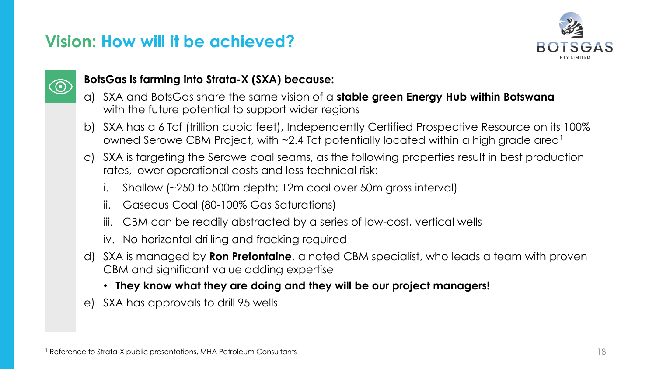### **Vision: How will it be achieved?**





### **BotsGas is farming into Strata-X (SXA) because:**

- a) SXA and BotsGas share the same vision of a **stable green Energy Hub within Botswana** with the future potential to support wider regions
- b) SXA has a 6 Tcf (trillion cubic feet), Independently Certified Prospective Resource on its 100% owned Serowe CBM Project, with  $\sim$ 2.4 Tcf potentially located within a high grade area<sup>1</sup>
- c) SXA is targeting the Serowe coal seams, as the following properties result in best production rates, lower operational costs and less technical risk:
	- i. Shallow (~250 to 500m depth; 12m coal over 50m gross interval)
	- ii. Gaseous Coal (80-100% Gas Saturations)
	- CBM can be readily abstracted by a series of low-cost, vertical wells
	- iv. No horizontal drilling and fracking required
- d) SXA is managed by **Ron Prefontaine**, a noted CBM specialist, who leads a team with proven CBM and significant value adding expertise
	- **They know what they are doing and they will be our project managers!**
- e) SXA has approvals to drill 95 wells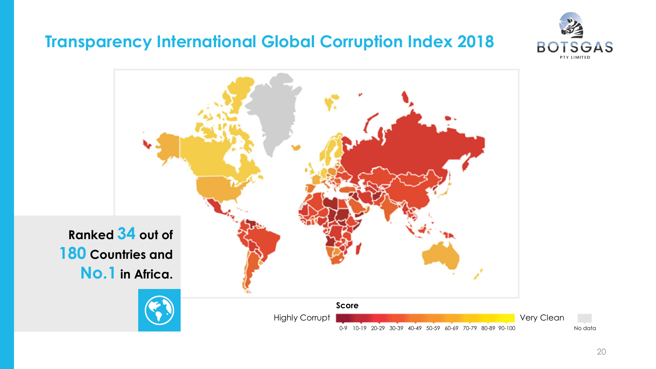### **Transparency International Global Corruption Index 2018**



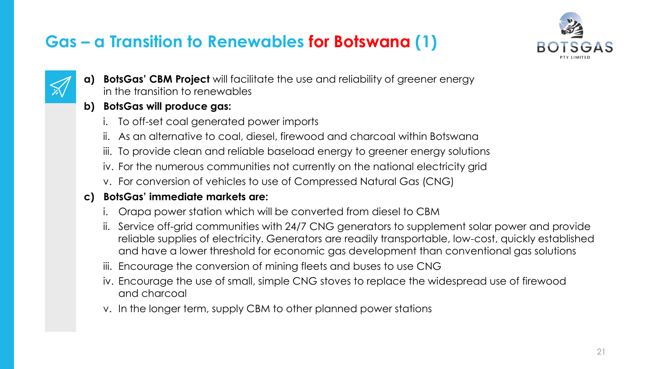## **Gas – a Transition to Renewables for Botswana (1)**





**a) BotsGas' CBM Project** will facilitate the use and reliability of greener energy in the transition to renewables

### **b) BotsGas will produce gas:**

- i. To off-set coal generated power imports
- ii. As an alternative to coal, diesel, firewood and charcoal within Botswana
- iii. To provide clean and reliable baseload energy to greener energy solutions
- iv. For the numerous communities not currently on the national electricity grid
- v. For conversion of vehicles to use of Compressed Natural Gas (CNG)

### **c) BotsGas' immediate markets are:**

- i. Orapa power station which will be converted from diesel to CBM
- ii. Service off-grid communities with 24/7 CNG generators to supplement solar power and provide reliable supplies of electricity. Generators are readily transportable, low-cost, quickly established and have a lower threshold for economic gas development than conventional gas solutions
- iii. Encourage the conversion of mining fleets and buses to use CNG
- iv. Encourage the use of small, simple CNG stoves to replace the widespread use of firewood and charcoal
- v. In the longer term, supply CBM to other planned power stations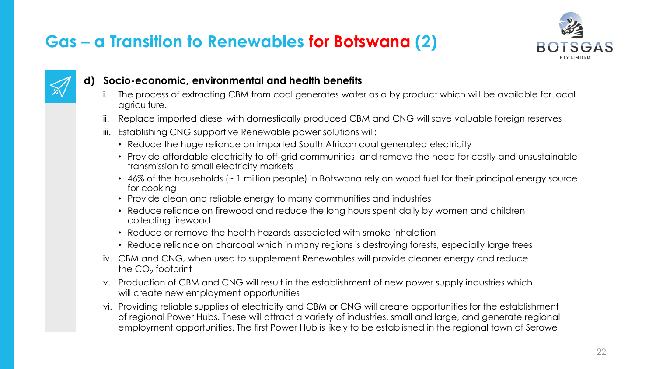## **Gas – a Transition to Renewables for Botswana (2)**





### **d) Socio-economic, environmental and health benefits**

- The process of extracting CBM from coal generates water as a by product which will be available for local agriculture.
- ii. Replace imported diesel with domestically produced CBM and CNG will save valuable foreign reserves
- iii. Establishing CNG supportive Renewable power solutions will:
	- Reduce the huge reliance on imported South African coal generated electricity
	- Provide affordable electricity to off-grid communities, and remove the need for costly and unsustainable transmission to small electricity markets
	- 46% of the households (~ 1 million people) in Botswana rely on wood fuel for their principal energy source for cooking
	- Provide clean and reliable energy to many communities and industries
	- Reduce reliance on firewood and reduce the long hours spent daily by women and children collecting firewood
	- Reduce or remove the health hazards associated with smoke inhalation
	- Reduce reliance on charcoal which in many regions is destroying forests, especially large trees
- iv. CBM and CNG, when used to supplement Renewables will provide cleaner energy and reduce the CO $_2$  footprint
- v. Production of CBM and CNG will result in the establishment of new power supply industries which will create new employment opportunities
- vi. Providing reliable supplies of electricity and CBM or CNG will create opportunities for the establishment of regional Power Hubs. These will attract a variety of industries, small and large, and generate regional employment opportunities. The first Power Hub is likely to be established in the regional town of Serowe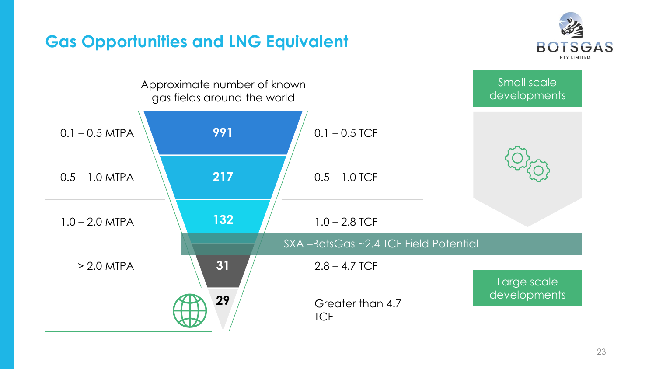

## **Gas Opportunities and LNG Equivalent**

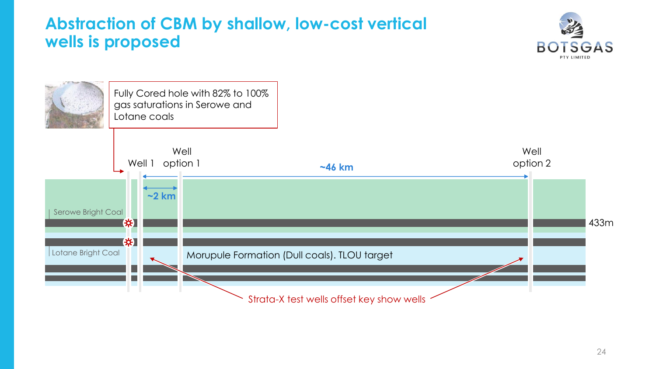### **Abstraction of CBM by shallow, low-cost vertical wells is proposed**



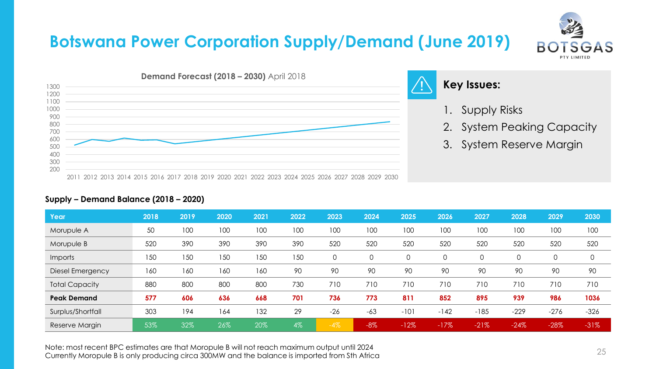## **Botswana Power Corporation Supply/Demand (June 2019)**





### **Key Issues:**

- 1. Supply Risks
- 2. System Peaking Capacity
- 3. System Reserve Margin

| Year                    | 2018 | 2019 | 2020 | 2021 | 2022 | 2023  | 2024   | 2025   | 2026   | 2027   | 2028   | 2029   | 2030   |
|-------------------------|------|------|------|------|------|-------|--------|--------|--------|--------|--------|--------|--------|
| Morupule A              | 50   | 100  | 100  | 100  | 100  | 100   | 100    | 100    | 100    | 100    | 100    | 100    | 100    |
| Morupule B              | 520  | 390  | 390  | 390  | 390  | 520   | 520    | 520    | 520    | 520    | 520    | 520    | 520    |
| <b>Imports</b>          | 150  | 150  | 150  | 150  | 150  | 0     |        | 0      | 0      |        | 0      | 0      | 0      |
| <b>Diesel Emergency</b> | 160  | 160  | 160  | 160  | 90   | 90    | 90     | 90     | 90     | 90     | 90     | 90     | 90     |
| <b>Total Capacity</b>   | 880  | 800  | 800  | 800  | 730  | 710   | 710    | 710    | 710    | 710    | 710    | 710    | 710    |
| <b>Peak Demand</b>      | 577  | 606  | 636  | 668  | 701  | 736   | 773    | 811    | 852    | 895    | 939    | 986    | 1036   |
| Surplus/Shortfall       | 303  | 194  | 164  | 132  | 29   | $-26$ | $-63$  | $-101$ | $-142$ | $-185$ | $-229$ | $-276$ | $-326$ |
| Reserve Margin          | 53%  | 32%  | 26%  | 20%  | 4%   | $-4%$ | $-8\%$ | $-12%$ | $-17%$ | $-21%$ | $-24%$ | $-28%$ | $-31%$ |

### **Supply – Demand Balance (2018 – 2020)**

Note: most recent BPC estimates are that Moropule B will not reach maximum output until 2024 Currently Moropule B is only producing circa 300MW and the balance is imported from Sth Africa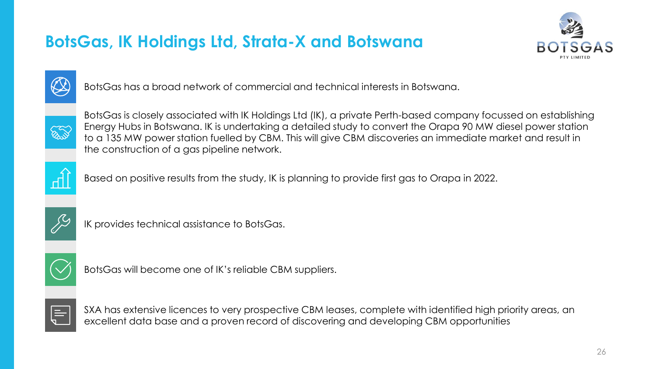## **BotsGas, IK Holdings Ltd, Strata-X and Botswana**





BotsGas has a broad network of commercial and technical interests in Botswana.



BotsGas is closely associated with IK Holdings Ltd (IK), a private Perth-based company focussed on establishing Energy Hubs in Botswana. IK is undertaking a detailed study to convert the Orapa 90 MW diesel power station to a 135 MW power station fuelled by CBM. This will give CBM discoveries an immediate market and result in the construction of a gas pipeline network.



Based on positive results from the study, IK is planning to provide first gas to Orapa in 2022.



IK provides technical assistance to BotsGas.



BotsGas will become one of IK's reliable CBM suppliers.



SXA has extensive licences to very prospective CBM leases, complete with identified high priority areas, an excellent data base and a proven record of discovering and developing CBM opportunities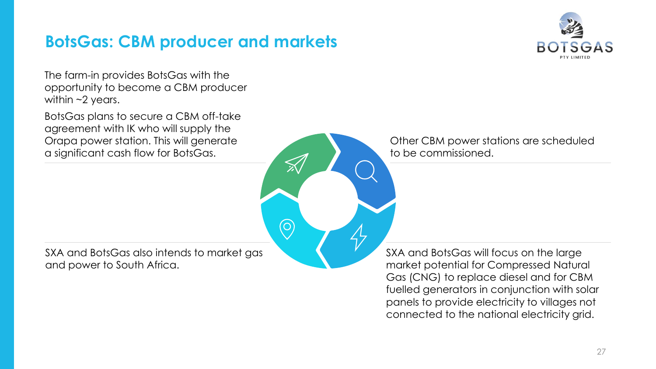### **BotsGas: CBM producer and markets**

 $\bigodot$ 



The farm-in provides BotsGas with the opportunity to become a CBM producer within  $\sim$ 2 years.

BotsGas plans to secure a CBM off-take agreement with IK who will supply the Orapa power station. This will generate a significant cash flow for BotsGas.

SXA and BotsGas also intends to market gas and power to South Africa.

Other CBM power stations are scheduled to be commissioned.

SXA and BotsGas will focus on the large market potential for Compressed Natural Gas (CNG) to replace diesel and for CBM fuelled generators in conjunction with solar panels to provide electricity to villages not connected to the national electricity grid.